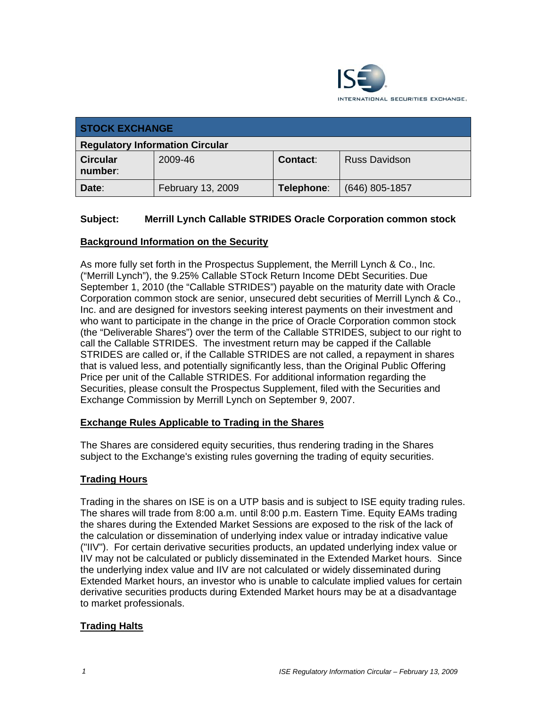

| <b>STOCK EXCHANGE</b>                  |                   |            |                      |
|----------------------------------------|-------------------|------------|----------------------|
| <b>Regulatory Information Circular</b> |                   |            |                      |
| <b>Circular</b><br>number:             | 2009-46           | Contact:   | <b>Russ Davidson</b> |
| Date:                                  | February 13, 2009 | Telephone: | $(646)$ 805-1857     |

# **Subject: Merrill Lynch Callable STRIDES Oracle Corporation common stock**

## **Background Information on the Security**

As more fully set forth in the Prospectus Supplement, the Merrill Lynch & Co., Inc. ("Merrill Lynch"), the 9.25% Callable STock Return Income DEbt Securities. Due September 1, 2010 (the "Callable STRIDES") payable on the maturity date with Oracle Corporation common stock are senior, unsecured debt securities of Merrill Lynch & Co., Inc. and are designed for investors seeking interest payments on their investment and who want to participate in the change in the price of Oracle Corporation common stock (the "Deliverable Shares") over the term of the Callable STRIDES, subject to our right to call the Callable STRIDES. The investment return may be capped if the Callable STRIDES are called or, if the Callable STRIDES are not called, a repayment in shares that is valued less, and potentially significantly less, than the Original Public Offering Price per unit of the Callable STRIDES. For additional information regarding the Securities, please consult the Prospectus Supplement, filed with the Securities and Exchange Commission by Merrill Lynch on September 9, 2007.

## **Exchange Rules Applicable to Trading in the Shares**

The Shares are considered equity securities, thus rendering trading in the Shares subject to the Exchange's existing rules governing the trading of equity securities.

## **Trading Hours**

Trading in the shares on ISE is on a UTP basis and is subject to ISE equity trading rules. The shares will trade from 8:00 a.m. until 8:00 p.m. Eastern Time. Equity EAMs trading the shares during the Extended Market Sessions are exposed to the risk of the lack of the calculation or dissemination of underlying index value or intraday indicative value ("IIV"). For certain derivative securities products, an updated underlying index value or IIV may not be calculated or publicly disseminated in the Extended Market hours. Since the underlying index value and IIV are not calculated or widely disseminated during Extended Market hours, an investor who is unable to calculate implied values for certain derivative securities products during Extended Market hours may be at a disadvantage to market professionals.

## **Trading Halts**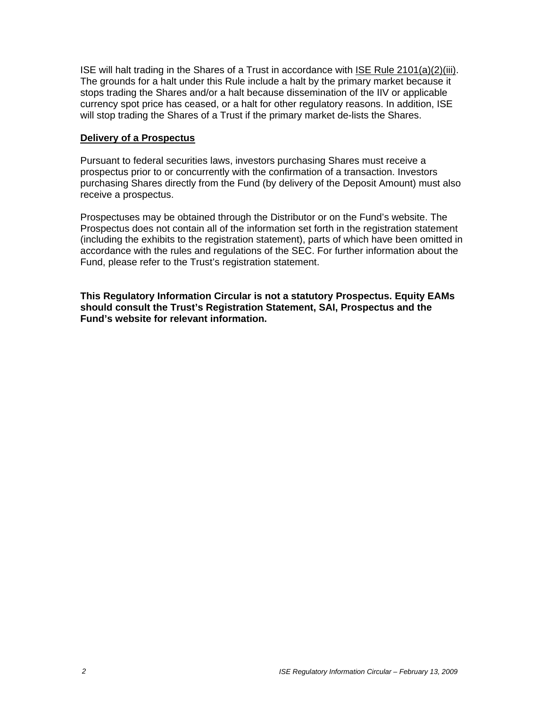ISE will halt trading in the Shares of a Trust in accordance with ISE Rule 2101(a)(2)(iii). The grounds for a halt under this Rule include a halt by the primary market because it stops trading the Shares and/or a halt because dissemination of the IIV or applicable currency spot price has ceased, or a halt for other regulatory reasons. In addition, ISE will stop trading the Shares of a Trust if the primary market de-lists the Shares.

#### **Delivery of a Prospectus**

Pursuant to federal securities laws, investors purchasing Shares must receive a prospectus prior to or concurrently with the confirmation of a transaction. Investors purchasing Shares directly from the Fund (by delivery of the Deposit Amount) must also receive a prospectus.

Prospectuses may be obtained through the Distributor or on the Fund's website. The Prospectus does not contain all of the information set forth in the registration statement (including the exhibits to the registration statement), parts of which have been omitted in accordance with the rules and regulations of the SEC. For further information about the Fund, please refer to the Trust's registration statement.

**This Regulatory Information Circular is not a statutory Prospectus. Equity EAMs should consult the Trust's Registration Statement, SAI, Prospectus and the Fund's website for relevant information.**